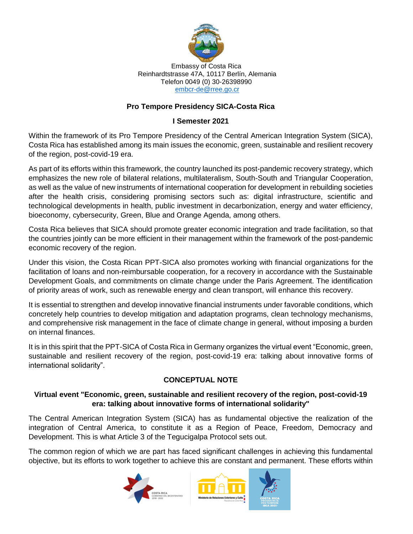

#### Embassy of Costa Rica Reinhardtstrasse 47A, 10117 Berlín, Alemania Telefon 0049 (0) 30-26398990 [embcr-de@rree.go.cr](mailto:embcr-de@rree.go.cr)

## **Pro Tempore Presidency SICA-Costa Rica**

### **I Semester 2021**

Within the framework of its Pro Tempore Presidency of the Central American Integration System (SICA), Costa Rica has established among its main issues the economic, green, sustainable and resilient recovery of the region, post-covid-19 era.

As part of its efforts within this framework, the country launched its post-pandemic recovery strategy, which emphasizes the new role of bilateral relations, multilateralism, South-South and Triangular Cooperation, as well as the value of new instruments of international cooperation for development in rebuilding societies after the health crisis, considering promising sectors such as: digital infrastructure, scientific and technological developments in health, public investment in decarbonization, energy and water efficiency, bioeconomy, cybersecurity, Green, Blue and Orange Agenda, among others.

Costa Rica believes that SICA should promote greater economic integration and trade facilitation, so that the countries jointly can be more efficient in their management within the framework of the post-pandemic economic recovery of the region.

Under this vision, the Costa Rican PPT-SICA also promotes working with financial organizations for the facilitation of loans and non-reimbursable cooperation, for a recovery in accordance with the Sustainable Development Goals, and commitments on climate change under the Paris Agreement. The identification of priority areas of work, such as renewable energy and clean transport, will enhance this recovery.

It is essential to strengthen and develop innovative financial instruments under favorable conditions, which concretely help countries to develop mitigation and adaptation programs, clean technology mechanisms, and comprehensive risk management in the face of climate change in general, without imposing a burden on internal finances.

It is in this spirit that the PPT-SICA of Costa Rica in Germany organizes the virtual event "Economic, green, sustainable and resilient recovery of the region, post-covid-19 era: talking about innovative forms of international solidarity".

# **CONCEPTUAL NOTE**

## **Virtual event "Economic, green, sustainable and resilient recovery of the region, post-covid-19 era: talking about innovative forms of international solidarity"**

The Central American Integration System (SICA) has as fundamental objective the realization of the integration of Central America, to constitute it as a Region of Peace, Freedom, Democracy and Development. This is what Article 3 of the Tegucigalpa Protocol sets out.

The common region of which we are part has faced significant challenges in achieving this fundamental objective, but its efforts to work together to achieve this are constant and permanent. These efforts within